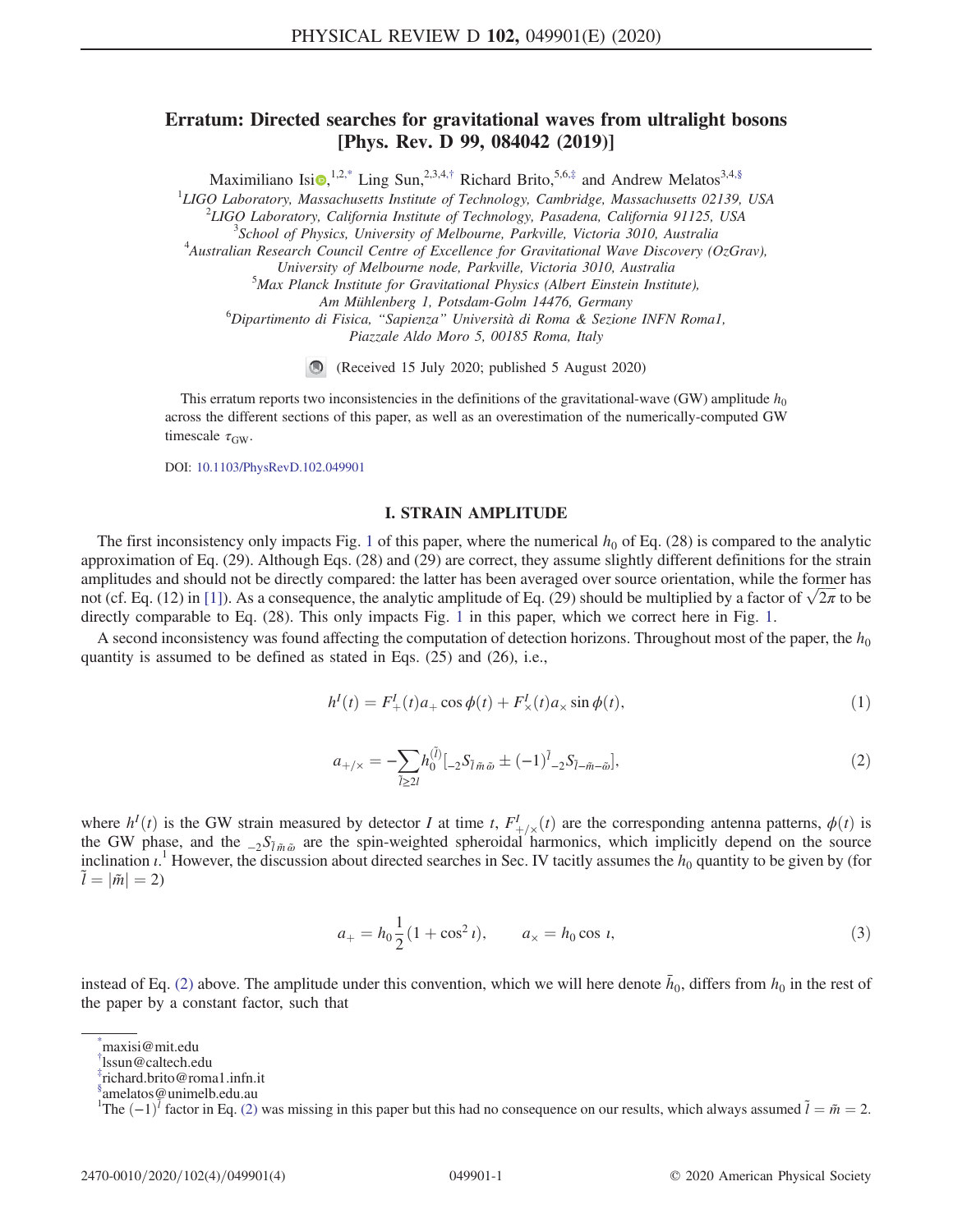## <span id="page-0-5"></span>Erratum: Directed searches for gravitational waves from ultralight bosons [Phys. Rev. D 99, 084042 (2019)]

Maximiliano Isi<sup>(a),1,[2,\\*](#page-0-0)</sup> Ling Sun,<sup>2,3,4,[†](#page-0-1)</sup> Richard Brito,<sup>5,6,[‡](#page-0-2)</sup> and Andrew Melatos<sup>3,4[,§](#page-0-3)</sup>

<sup>1</sup>LIGO Laboratory, Massachusetts Institute of Technology, Cambridge, Massachusetts 02139, USA  $^{2}$ LICO Laboratory, California Institute of Technology, Pasadana, California 01125, USA

 $\mu^2$ LIGO Laboratory, California Institute of Technology, Pasadena, California 91125, USA

 $\delta$ School of Physics, University of Melbourne, Parkville, Victoria 3010, Australia

 $^{4}$ Australian Research Council Centre of Excellence for Gravitational Wave Discovery (OzGrav),

University of Melbourne node, Parkville, Victoria 3010, Australia <sup>5</sup>

 $5$ Max Planck Institute for Gravitational Physics (Albert Einstein Institute),

Am Mühlenberg 1, Potsdam-Golm 14476, Germany <sup>6</sup>

 ${}^{6}$ Dipartimento di Fisica, "Sapienza" Università di Roma & Sezione INFN Roma1, Piazzale Aldo Moro 5, 00185 Roma, Italy

(Received 15 July 2020; published 5 August 2020)

This erratum reports two inconsistencies in the definitions of the gravitational-wave (GW) amplitude  $h_0$ across the different sections of this paper, as well as an overestimation of the numerically-computed GW timescale  $\tau_{\rm GW}$ .

DOI: [10.1103/PhysRevD.102.049901](https://doi.org/10.1103/PhysRevD.102.049901)

## I. STRAIN AMPLITUDE

The first inconsistency only impacts Fig. [1](#page-1-0) of this paper, where the numerical  $h_0$  of Eq. (28) is compared to the analytic approximation of Eq. (29). Although Eqs. (28) and (29) are correct, they assume slightly different definitions for the strain amplitudes and should not be directly compared: the latter has been averaged over source orientation, while the former has not (cf. Eq. (12) in [\[1\]](#page-3-0)). As a consequence, the analytic amplitude of Eq. (29) should be multiplied by a factor of  $\sqrt{2\pi}$  to be directly comparable to Eq. (28). This only impacts Fig. [1](#page-1-0) in this paper, which we correct here in Fig. [1.](#page-1-0)

<span id="page-0-4"></span>A second inconsistency was found affecting the computation of detection horizons. Throughout most of the paper, the  $h_0$ quantity is assumed to be defined as stated in Eqs. (25) and (26), i.e.,

$$
h^{I}(t) = F_{+}^{I}(t)a_{+} \cos \phi(t) + F_{\times}^{I}(t)a_{\times} \sin \phi(t),
$$
\n(1)

$$
a_{+\prime \times} = -\sum_{\tilde{l}\geq 2l} h_0^{(\tilde{l})} [{}_{-2}S_{\tilde{l}\tilde{m}\tilde{\omega}} \pm (-1)^{\tilde{l}} {}_{-2}S_{\tilde{l}-\tilde{m}-\tilde{\omega}}],\tag{2}
$$

where  $h^{I}(t)$  is the GW strain measured by detector I at time t,  $F^{I}_{+/\times}(t)$  are the corresponding antenna patterns,  $\phi(t)$  is the GW phase, and the  ${}_{-2}S_{\tilde{l}\tilde{m}\tilde{\omega}}$  are the spin-weighted spheroidal harmonics, which implicitly depend on the source inclination  $i$ .<sup>1</sup> However, the discussion about directed searches in Sec. IV tacitly assumes the  $h_0$  quantity to be given by (for  $\tilde{l} = |\tilde{m}| = 2$ )  $\tilde{l} = |\tilde{m}| = 2$ 

$$
a_{+} = h_0 \frac{1}{2} (1 + \cos^2 t), \qquad a_{\times} = h_0 \cos t,
$$
\n(3)

instead of Eq. [\(2\)](#page-0-4) above. The amplitude under this convention, which we will here denote  $\bar{h}_0$ , differs from  $h_0$  in the rest of the paper by a constant factor, such that

<span id="page-0-0"></span>[<sup>\\*</sup>](#page-0-5) maxisi@mit.edu

<span id="page-0-1"></span>[<sup>†</sup>](#page-0-5) lssun@caltech.edu

<span id="page-0-2"></span>[<sup>‡</sup>](#page-0-5) richard.brito@roma1.infn.it

<span id="page-0-3"></span>[<sup>§</sup>](#page-0-5) amelatos@unimelb.edu.au

The  $(-1)^{\tilde{l}}$  factor in Eq. [\(2\)](#page-0-4) was missing in this paper but this had no consequence on our results, which always assumed  $\tilde{l} = \tilde{m} = 2$ .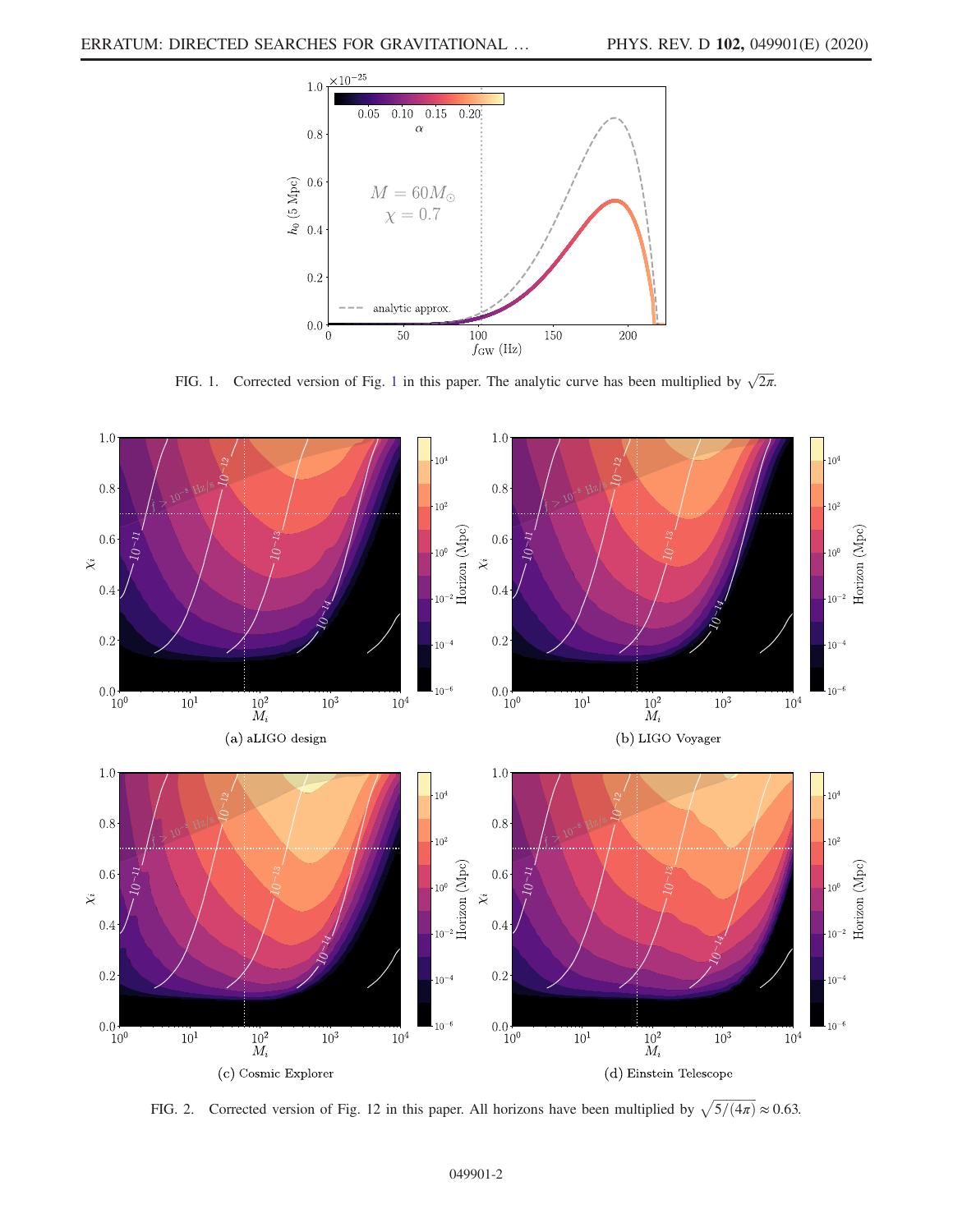<span id="page-1-0"></span>

FIG. [1](#page-1-0). Corrected version of Fig. 1 in this paper. The analytic curve has been multiplied by  $\sqrt{2\pi}$ .

<span id="page-1-1"></span>

FIG. 2. Corrected version of Fig. 12 in this paper. All horizons have been multiplied by  $\sqrt{5/(4\pi)} \approx 0.63$ .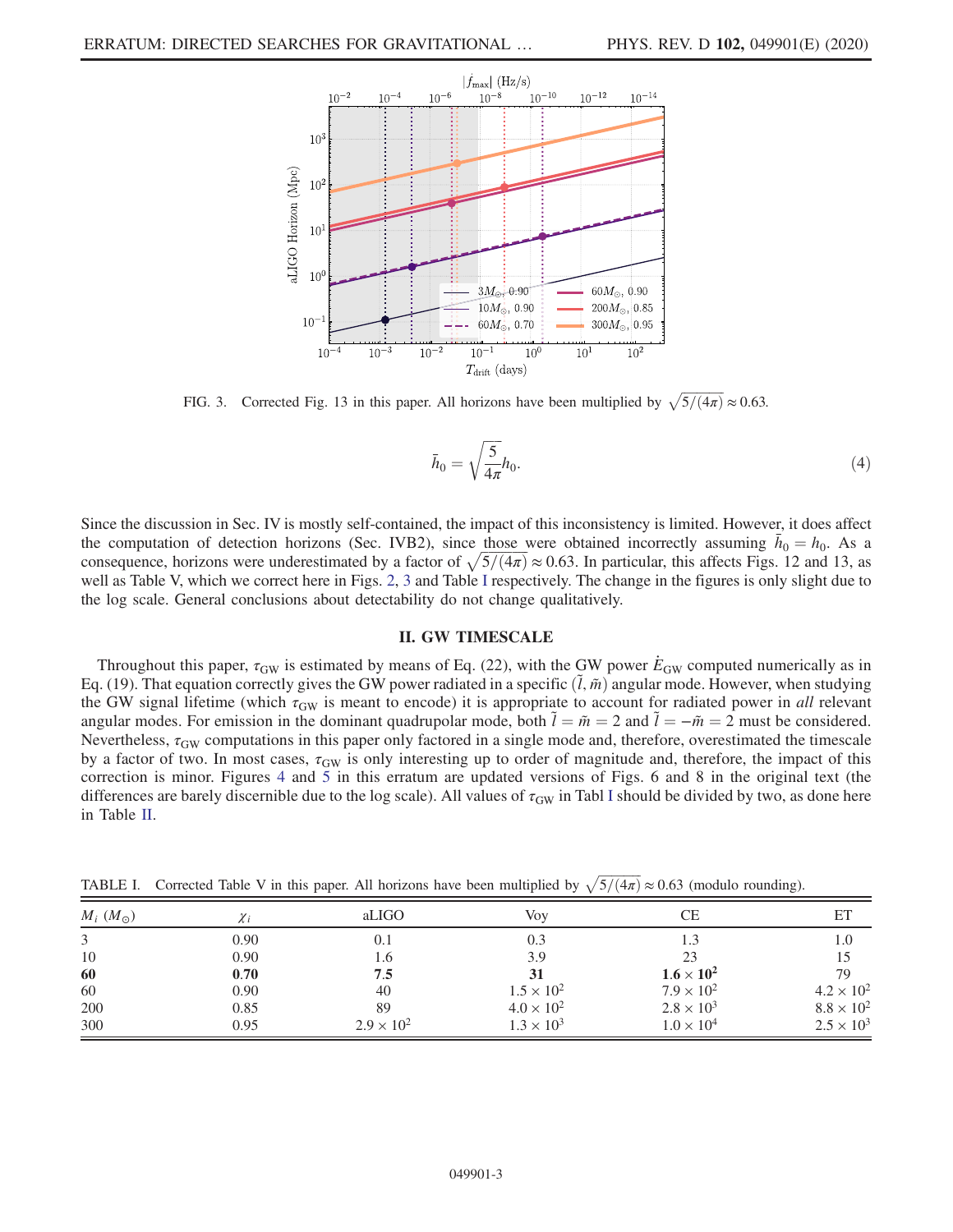<span id="page-2-0"></span>

FIG. 3. Corrected Fig. 13 in this paper. All horizons have been multiplied by  $\sqrt{5/(4\pi)} \approx 0.63$ .

$$
\bar{h}_0 = \sqrt{\frac{5}{4\pi}} h_0. \tag{4}
$$

Since the discussion in Sec. IV is mostly self-contained, the impact of this inconsistency is limited. However, it does affect the computation of detection horizons (Sec. IVB2), since those were obtained incorrectly assuming  $\bar{h}_0 = h_0$ . As a consequence, horizons were underestimated by a factor of  $\sqrt{5/(4\pi)} \approx 0.63$ . In particular, this affects Figs. 12 and 13, as well as Table V, which we correct here in Figs. [2,](#page-1-1) [3](#page-2-0) and Table [I](#page-2-1) respectively. The change in the figures is only slight due to the log scale. General conclusions about detectability do not change qualitatively.

## II. GW TIMESCALE

Throughout this paper,  $\tau_{GW}$  is estimated by means of Eq. (22), with the GW power  $E_{GW}$  computed numerically as in Eq. (19). That equation correctly gives the GW power radiated in a specific  $(\tilde{l}, \tilde{m})$  angular mode. However, when studying the GW signal lifetime (which  $\tau_{GW}$  is meant to encode) it is appropriate to account for radiated power in all relevant angular modes. For emission in the dominant quadrupolar mode, both  $\tilde{l} = \tilde{m} = 2$  and  $\tilde{l} = -\tilde{m} = 2$  must be considered. Nevertheless,  $\tau_{GW}$  computations in this paper only factored in a single mode and, therefore, overestimated the timescale by a factor of two. In most cases,  $\tau_{GW}$  is only interesting up to order of magnitude and, therefore, the impact of this correction is minor. Figures [4](#page-3-1) and [5](#page-3-2) in this erratum are updated versions of Figs. 6 and 8 in the original text (the differences are barely discernible due to the log scale). All values of  $\tau_{GW}$  in Tabl [I](#page-2-1) should be divided by two, as done here in Table [II.](#page-3-3)

| $M_i$ $(M_{\odot})$ | . .      |                     | $\bullet$ $\bullet$ $\bullet$ $\bullet$ $\bullet$ $\bullet$ $\bullet$ |                     | $\tilde{\phantom{a}}$ |  |
|---------------------|----------|---------------------|-----------------------------------------------------------------------|---------------------|-----------------------|--|
|                     | $\chi_i$ | aLIGO               | Voy                                                                   | СE                  | ET                    |  |
| 3                   | 0.90     | 0.1                 | 0.3                                                                   | 1.3                 | 1.0                   |  |
| 10                  | 0.90     | 1.6                 | 3.9                                                                   | 23                  | 15                    |  |
| 60                  | 0.70     | 7.5                 | 31                                                                    | $1.6 \times 10^2$   | 79                    |  |
| 60                  | 0.90     | 40                  | $1.5 \times 10^{2}$                                                   | $7.9 \times 10^{2}$ | $4.2 \times 10^{2}$   |  |
| 200                 | 0.85     | 89                  | $4.0 \times 10^{2}$                                                   | $2.8 \times 10^{3}$ | $8.8 \times 10^{2}$   |  |
| 300                 | 0.95     | $2.9 \times 10^{2}$ | $1.3 \times 10^{3}$                                                   | $1.0 \times 10^{4}$ | $2.5 \times 10^{3}$   |  |

<span id="page-2-1"></span>TABLE I. Corrected Table V in this paper. All horizons have been multiplied by  $\sqrt{5/(4\pi)} \approx 0.63$  (modulo rounding).